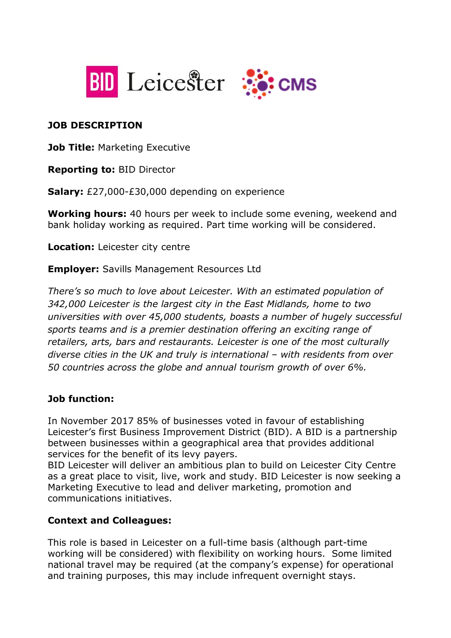



#### **JOB DESCRIPTION**

**Job Title: Marketing Executive** 

**Reporting to:** BID Director

**Salary:** £27,000-£30,000 depending on experience

**Working hours:** 40 hours per week to include some evening, weekend and bank holiday working as required. Part time working will be considered.

**Location:** Leicester city centre

**Employer:** Savills Management Resources Ltd

*There's so much to love about Leicester. With an estimated population of 342,000 Leicester is the largest city in the East Midlands, home to two universities with over 45,000 students, boasts a number of hugely successful sports teams and is a premier destination offering an exciting range of retailers, arts, bars and restaurants. Leicester is one of the most culturally diverse cities in the UK and truly is international – with residents from over 50 countries across the globe and annual tourism growth of over 6%.*

## **Job function:**

In November 2017 85% of businesses voted in favour of establishing Leicester's first Business Improvement District (BID). A BID is a partnership between businesses within a geographical area that provides additional services for the benefit of its levy payers.

BID Leicester will deliver an ambitious plan to build on Leicester City Centre as a great place to visit, live, work and study. BID Leicester is now seeking a Marketing Executive to lead and deliver marketing, promotion and communications initiatives.

## **Context and Colleagues:**

This role is based in Leicester on a full-time basis (although part-time working will be considered) with flexibility on working hours. Some limited national travel may be required (at the company's expense) for operational and training purposes, this may include infrequent overnight stays.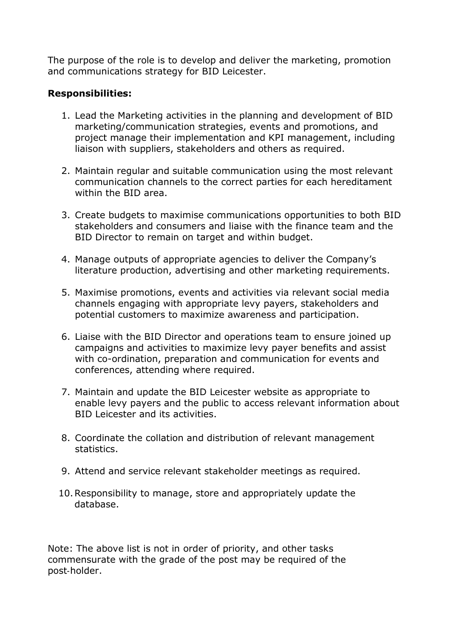The purpose of the role is to develop and deliver the marketing, promotion and communications strategy for BID Leicester.

#### **Responsibilities:**

- 1. Lead the Marketing activities in the planning and development of BID marketing/communication strategies, events and promotions, and project manage their implementation and KPI management, including liaison with suppliers, stakeholders and others as required.
- 2. Maintain regular and suitable communication using the most relevant communication channels to the correct parties for each hereditament within the BID area.
- 3. Create budgets to maximise communications opportunities to both BID stakeholders and consumers and liaise with the finance team and the BID Director to remain on target and within budget.
- 4. Manage outputs of appropriate agencies to deliver the Company's literature production, advertising and other marketing requirements.
- 5. Maximise promotions, events and activities via relevant social media channels engaging with appropriate levy payers, stakeholders and potential customers to maximize awareness and participation.
- 6. Liaise with the BID Director and operations team to ensure joined up campaigns and activities to maximize levy payer benefits and assist with co-ordination, preparation and communication for events and conferences, attending where required.
- 7. Maintain and update the BID Leicester website as appropriate to enable levy payers and the public to access relevant information about BID Leicester and its activities.
- 8. Coordinate the collation and distribution of relevant management statistics.
- 9. Attend and service relevant stakeholder meetings as required.
- 10.Responsibility to manage, store and appropriately update the database.

Note: The above list is not in order of priority, and other tasks commensurate with the grade of the post may be required of the post‐holder.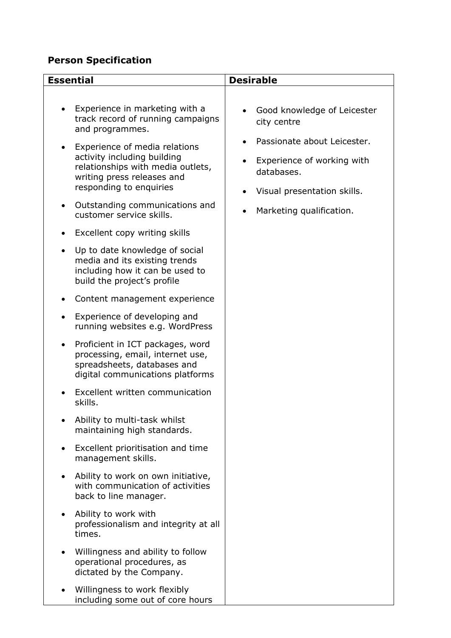# **Person Specification**

• Willingness to work flexibly

including some out of core hours

| <b>Essential</b>                                                                                                                                           | <b>Desirable</b>                                                                                       |
|------------------------------------------------------------------------------------------------------------------------------------------------------------|--------------------------------------------------------------------------------------------------------|
|                                                                                                                                                            |                                                                                                        |
| Experience in marketing with a<br>track record of running campaigns<br>and programmes.                                                                     | Good knowledge of Leicester<br>city centre                                                             |
| Experience of media relations<br>activity including building<br>relationships with media outlets,<br>writing press releases and<br>responding to enquiries | Passionate about Leicester.<br>Experience of working with<br>databases.<br>Visual presentation skills. |
| Outstanding communications and<br>$\bullet$<br>customer service skills.                                                                                    | Marketing qualification.                                                                               |
| Excellent copy writing skills                                                                                                                              |                                                                                                        |
| Up to date knowledge of social<br>$\bullet$<br>media and its existing trends<br>including how it can be used to<br>build the project's profile             |                                                                                                        |
| Content management experience                                                                                                                              |                                                                                                        |
| Experience of developing and<br>running websites e.g. WordPress                                                                                            |                                                                                                        |
| Proficient in ICT packages, word<br>processing, email, internet use,<br>spreadsheets, databases and<br>digital communications platforms                    |                                                                                                        |
| Excellent written communication<br>skills.                                                                                                                 |                                                                                                        |
| Ability to multi-task whilst<br>maintaining high standards.                                                                                                |                                                                                                        |
| Excellent prioritisation and time<br>management skills.                                                                                                    |                                                                                                        |
| Ability to work on own initiative,<br>with communication of activities<br>back to line manager.                                                            |                                                                                                        |
| Ability to work with<br>professionalism and integrity at all<br>times.                                                                                     |                                                                                                        |
| Willingness and ability to follow<br>operational procedures, as<br>dictated by the Company.                                                                |                                                                                                        |